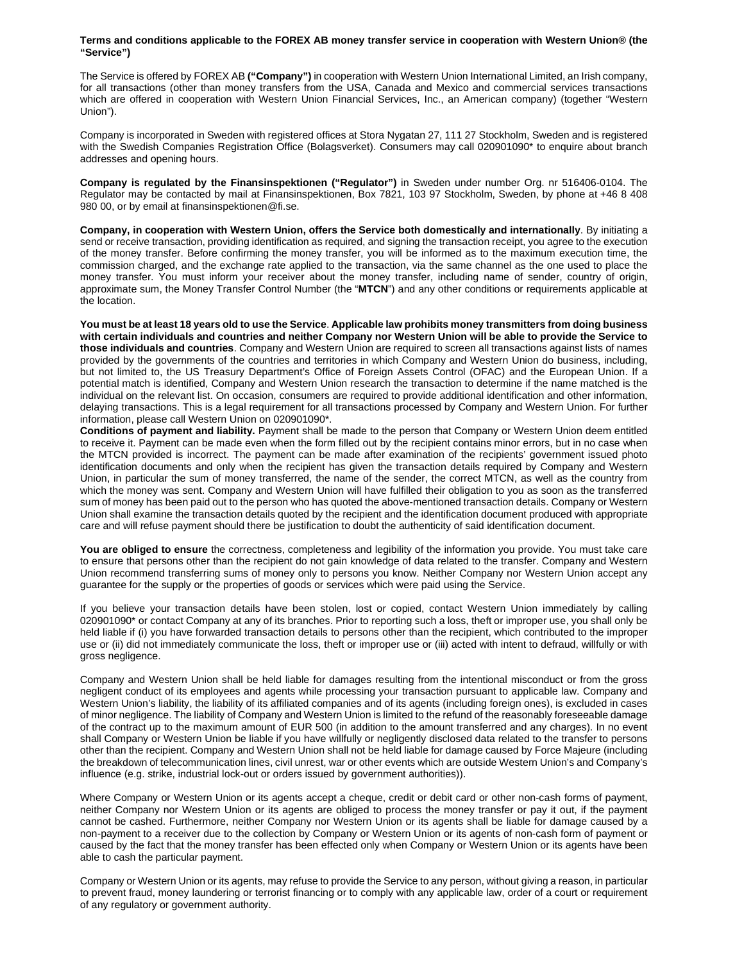## **Terms and conditions applicable to the FOREX AB money transfer service in cooperation with Western Union® (the "Service")**

The Service is offered by FOREX AB **("Company")** in cooperation with Western Union International Limited, an Irish company, for all transactions (other than money transfers from the USA, Canada and Mexico and commercial services transactions which are offered in cooperation with Western Union Financial Services, Inc., an American company) (together "Western Union").

Company is incorporated in Sweden with registered offices at Stora Nygatan 27, 111 27 Stockholm, Sweden and is registered with the Swedish Companies Registration Office (Bolagsverket). Consumers may call 020901090\* to enquire about branch addresses and opening hours.

**Company is regulated by the Finansinspektionen ("Regulator")** in Sweden under number Org. nr 516406-0104. The Regulator may be contacted by mail at Finansinspektionen, Box 7821, 103 97 Stockholm, Sweden, by phone at +46 8 408 980 00, or by email at finansinspektionen@fi.se.

**Company, in cooperation with Western Union, offers the Service both domestically and internationally**. By initiating a send or receive transaction, providing identification as required, and signing the transaction receipt, you agree to the execution of the money transfer. Before confirming the money transfer, you will be informed as to the maximum execution time, the commission charged, and the exchange rate applied to the transaction, via the same channel as the one used to place the money transfer. You must inform your receiver about the money transfer, including name of sender, country of origin, approximate sum, the Money Transfer Control Number (the "**MTCN**") and any other conditions or requirements applicable at the location.

**You must be at least 18 years old to use the Service**. **Applicable law prohibits money transmitters from doing business with certain individuals and countries and neither Company nor Western Union will be able to provide the Service to those individuals and countries**. Company and Western Union are required to screen all transactions against lists of names provided by the governments of the countries and territories in which Company and Western Union do business, including, but not limited to, the US Treasury Department's Office of Foreign Assets Control (OFAC) and the European Union. If a potential match is identified, Company and Western Union research the transaction to determine if the name matched is the individual on the relevant list. On occasion, consumers are required to provide additional identification and other information, delaying transactions. This is a legal requirement for all transactions processed by Company and Western Union. For further information, please call Western Union on 020901090\*.

**Conditions of payment and liability.** Payment shall be made to the person that Company or Western Union deem entitled to receive it. Payment can be made even when the form filled out by the recipient contains minor errors, but in no case when the MTCN provided is incorrect. The payment can be made after examination of the recipients' government issued photo identification documents and only when the recipient has given the transaction details required by Company and Western Union, in particular the sum of money transferred, the name of the sender, the correct MTCN, as well as the country from which the money was sent. Company and Western Union will have fulfilled their obligation to you as soon as the transferred sum of money has been paid out to the person who has quoted the above-mentioned transaction details. Company or Western Union shall examine the transaction details quoted by the recipient and the identification document produced with appropriate care and will refuse payment should there be justification to doubt the authenticity of said identification document.

**You are obliged to ensure** the correctness, completeness and legibility of the information you provide. You must take care to ensure that persons other than the recipient do not gain knowledge of data related to the transfer. Company and Western Union recommend transferring sums of money only to persons you know. Neither Company nor Western Union accept any guarantee for the supply or the properties of goods or services which were paid using the Service.

If you believe your transaction details have been stolen, lost or copied, contact Western Union immediately by calling 020901090<sup>\*</sup> or contact Company at any of its branches. Prior to reporting such a loss, theft or improper use, you shall only be held liable if (i) you have forwarded transaction details to persons other than the recipient, which contributed to the improper use or (ii) did not immediately communicate the loss, theft or improper use or (iii) acted with intent to defraud, willfully or with gross negligence.

Company and Western Union shall be held liable for damages resulting from the intentional misconduct or from the gross negligent conduct of its employees and agents while processing your transaction pursuant to applicable law. Company and Western Union's liability, the liability of its affiliated companies and of its agents (including foreign ones), is excluded in cases of minor negligence. The liability of Company and Western Union is limited to the refund of the reasonably foreseeable damage of the contract up to the maximum amount of EUR 500 (in addition to the amount transferred and any charges). In no event shall Company or Western Union be liable if you have willfully or negligently disclosed data related to the transfer to persons other than the recipient. Company and Western Union shall not be held liable for damage caused by Force Majeure (including the breakdown of telecommunication lines, civil unrest, war or other events which are outside Western Union's and Company's influence (e.g. strike, industrial lock-out or orders issued by government authorities)).

Where Company or Western Union or its agents accept a cheque, credit or debit card or other non-cash forms of payment, neither Company nor Western Union or its agents are obliged to process the money transfer or pay it out, if the payment cannot be cashed. Furthermore, neither Company nor Western Union or its agents shall be liable for damage caused by a non-payment to a receiver due to the collection by Company or Western Union or its agents of non-cash form of payment or caused by the fact that the money transfer has been effected only when Company or Western Union or its agents have been able to cash the particular payment.

Company or Western Union or its agents, may refuse to provide the Service to any person, without giving a reason, in particular to prevent fraud, money laundering or terrorist financing or to comply with any applicable law, order of a court or requirement of any regulatory or government authority.